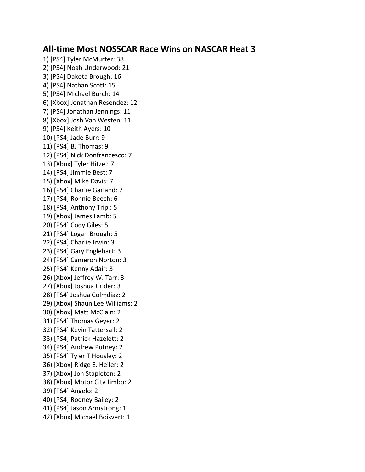## **All-time Most NOSSCAR Race Wins on NASCAR Heat 3**

1) [PS4] Tyler McMurter: 38 2) [PS4] Noah Underwood: 21 3) [PS4] Dakota Brough: 16 4) [PS4] Nathan Scott: 15 5) [PS4] Michael Burch: 14 6) [Xbox] Jonathan Resendez: 12 7) [PS4] Jonathan Jennings: 11 8) [Xbox] Josh Van Westen: 11 9) [PS4] Keith Ayers: 10 10) [PS4] Jade Burr: 9 11) [PS4] BJ Thomas: 9 12) [PS4] Nick Donfrancesco: 7 13) [Xbox] Tyler Hitzel: 7 14) [PS4] Jimmie Best: 7 15) [Xbox] Mike Davis: 7 16) [PS4] Charlie Garland: 7 17) [PS4] Ronnie Beech: 6 18) [PS4] Anthony Tripi: 5 19) [Xbox] James Lamb: 5 20) [PS4] Cody Giles: 5 21) [PS4] Logan Brough: 5 22) [PS4] Charlie Irwin: 3 23) [PS4] Gary Englehart: 3 24) [PS4] Cameron Norton: 3 25) [PS4] Kenny Adair: 3 26) [Xbox] Jeffrey W. Tarr: 3 27) [Xbox] Joshua Crider: 3 28) [PS4] Joshua Colmdiaz: 2 29) [Xbox] Shaun Lee Williams: 2 30) [Xbox] Matt McClain: 2 31) [PS4] Thomas Geyer: 2 32) [PS4] Kevin Tattersall: 2 33) [PS4] Patrick Hazelett: 2 34) [PS4] Andrew Putney: 2 35) [PS4] Tyler T Housley: 2 36) [Xbox] Ridge E. Heiler: 2 37) [Xbox] Jon Stapleton: 2 38) [Xbox] Motor City Jimbo: 2 39) [PS4] Angelo: 2 40) [PS4] Rodney Bailey: 2 41) [PS4] Jason Armstrong: 1 42) [Xbox] Michael Boisvert: 1